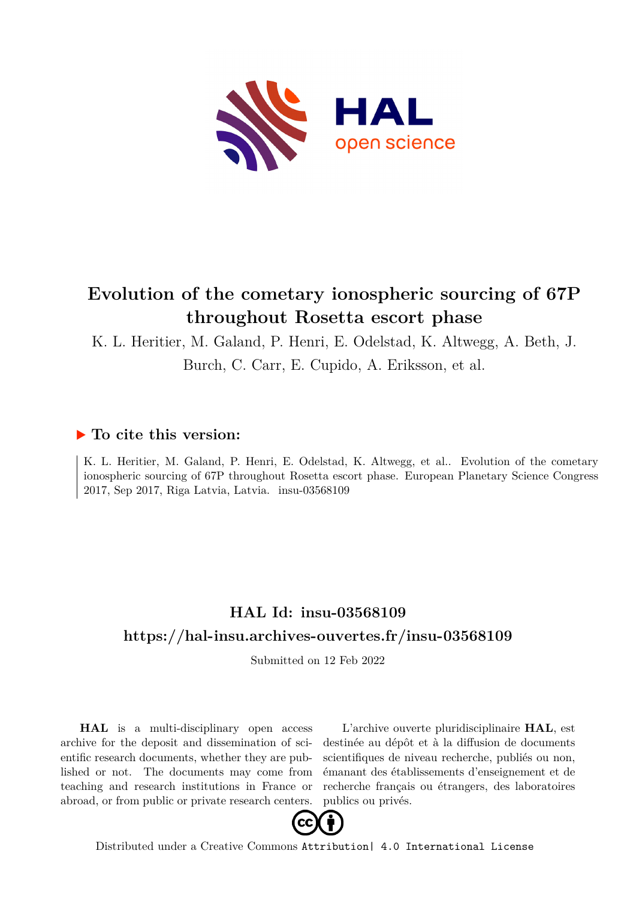

# **Evolution of the cometary ionospheric sourcing of 67P throughout Rosetta escort phase**

K. L. Heritier, M. Galand, P. Henri, E. Odelstad, K. Altwegg, A. Beth, J.

Burch, C. Carr, E. Cupido, A. Eriksson, et al.

### **To cite this version:**

K. L. Heritier, M. Galand, P. Henri, E. Odelstad, K. Altwegg, et al.. Evolution of the cometary ionospheric sourcing of 67P throughout Rosetta escort phase. European Planetary Science Congress 2017, Sep 2017, Riga Latvia, Latvia. insu-03568109

## **HAL Id: insu-03568109 <https://hal-insu.archives-ouvertes.fr/insu-03568109>**

Submitted on 12 Feb 2022

**HAL** is a multi-disciplinary open access archive for the deposit and dissemination of scientific research documents, whether they are published or not. The documents may come from teaching and research institutions in France or abroad, or from public or private research centers.

L'archive ouverte pluridisciplinaire **HAL**, est destinée au dépôt et à la diffusion de documents scientifiques de niveau recherche, publiés ou non, émanant des établissements d'enseignement et de recherche français ou étrangers, des laboratoires publics ou privés.



Distributed under a Creative Commons [Attribution| 4.0 International License](http://creativecommons.org/licenses/by/4.0/)